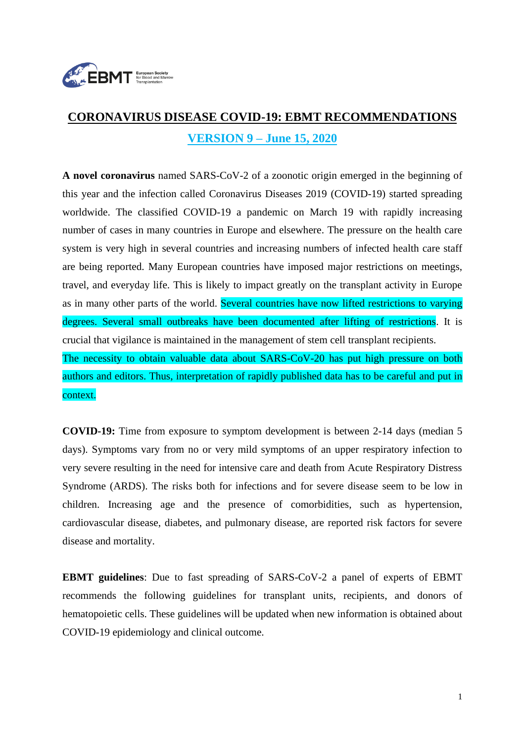

# **CORONAVIRUS DISEASE COVID-19: EBMT RECOMMENDATIONS VERSION 9 – June 15, 2020**

**A novel coronavirus** named SARS-CoV-2 of a zoonotic origin emerged in the beginning of this year and the infection called Coronavirus Diseases 2019 (COVID-19) started spreading worldwide. The classified COVID-19 a pandemic on March 19 with rapidly increasing number of cases in many countries in Europe and elsewhere. The pressure on the health care system is very high in several countries and increasing numbers of infected health care staff are being reported. Many European countries have imposed major restrictions on meetings, travel, and everyday life. This is likely to impact greatly on the transplant activity in Europe as in many other parts of the world. Several countries have now lifted restrictions to varying degrees. Several small outbreaks have been documented after lifting of restrictions. It is crucial that vigilance is maintained in the management of stem cell transplant recipients. The necessity to obtain valuable data about SARS-CoV-20 has put high pressure on both authors and editors. Thus, interpretation of rapidly published data has to be careful and put in context.

**COVID-19:** Time from exposure to symptom development is between 2-14 days (median 5 days). Symptoms vary from no or very mild symptoms of an upper respiratory infection to very severe resulting in the need for intensive care and death from Acute Respiratory Distress Syndrome (ARDS). The risks both for infections and for severe disease seem to be low in children. Increasing age and the presence of comorbidities, such as hypertension, cardiovascular disease, diabetes, and pulmonary disease, are reported risk factors for severe disease and mortality.

**EBMT guidelines**: Due to fast spreading of SARS-CoV-2 a panel of experts of EBMT recommends the following guidelines for transplant units, recipients, and donors of hematopoietic cells. These guidelines will be updated when new information is obtained about COVID-19 epidemiology and clinical outcome.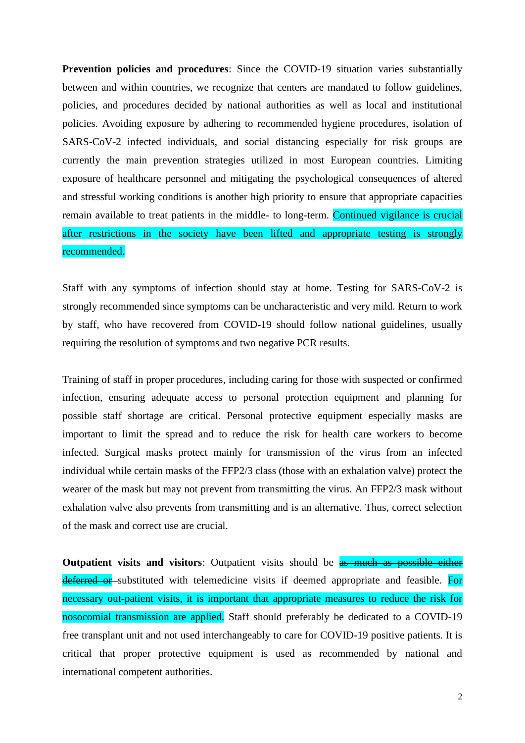**Prevention policies and procedures**: Since the COVID-19 situation varies substantially between and within countries, we recognize that centers are mandated to follow guidelines, policies, and procedures decided by national authorities as well as local and institutional policies. Avoiding exposure by adhering to recommended hygiene procedures, isolation of SARS-CoV-2 infected individuals, and social distancing especially for risk groups are currently the main prevention strategies utilized in most European countries. Limiting exposure of healthcare personnel and mitigating the psychological consequences of altered and stressful working conditions is another high priority to ensure that appropriate capacities remain available to treat patients in the middle- to long-term. Continued vigilance is crucial after restrictions in the society have been lifted and appropriate testing is strongly recommended.

Staff with any symptoms of infection should stay at home. Testing for SARS-CoV-2 is strongly recommended since symptoms can be uncharacteristic and very mild. Return to work by staff, who have recovered from COVID-19 should follow national guidelines, usually requiring the resolution of symptoms and two negative PCR results.

Training of staff in proper procedures, including caring for those with suspected or confirmed infection, ensuring adequate access to personal protection equipment and planning for possible staff shortage are critical. Personal protective equipment especially masks are important to limit the spread and to reduce the risk for health care workers to become infected. Surgical masks protect mainly for transmission of the virus from an infected individual while certain masks of the FFP2/3 class (those with an exhalation valve) protect the wearer of the mask but may not prevent from transmitting the virus. An FFP2/3 mask without exhalation valve also prevents from transmitting and is an alternative. Thus, correct selection of the mask and correct use are crucial.

**Outpatient visits and visitors:** Outpatient visits should be as much as possible either deferred or substituted with telemedicine visits if deemed appropriate and feasible. For necessary out-patient visits, it is important that appropriate measures to reduce the risk for nosocomial transmission are applied. Staff should preferably be dedicated to a COVID-19 free transplant unit and not used interchangeably to care for COVID-19 positive patients. It is critical that proper protective equipment is used as recommended by national and international competent authorities.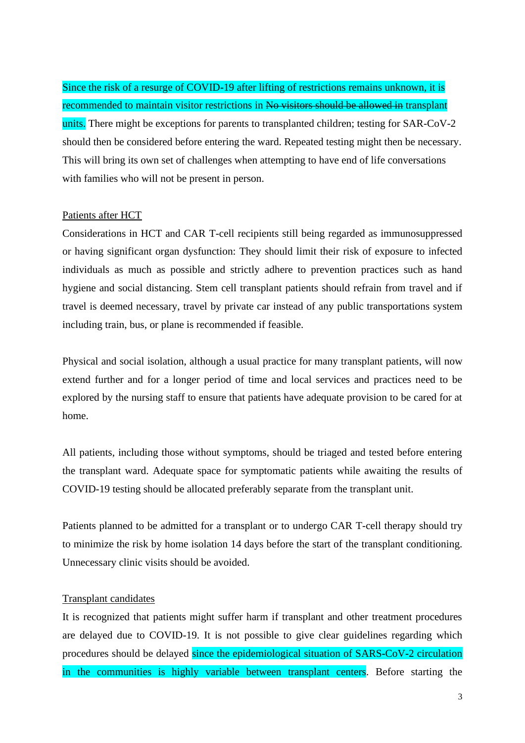Since the risk of a resurge of COVID-19 after lifting of restrictions remains unknown, it is recommended to maintain visitor restrictions in No visitors should be allowed in transplant units. There might be exceptions for parents to transplanted children; testing for SAR-CoV-2 should then be considered before entering the ward. Repeated testing might then be necessary. This will bring its own set of challenges when attempting to have end of life conversations with families who will not be present in person.

#### Patients after HCT

Considerations in HCT and CAR T-cell recipients still being regarded as immunosuppressed or having significant organ dysfunction: They should limit their risk of exposure to infected individuals as much as possible and strictly adhere to prevention practices such as hand hygiene and social distancing. Stem cell transplant patients should refrain from travel and if travel is deemed necessary, travel by private car instead of any public transportations system including train, bus, or plane is recommended if feasible.

Physical and social isolation, although a usual practice for many transplant patients, will now extend further and for a longer period of time and local services and practices need to be explored by the nursing staff to ensure that patients have adequate provision to be cared for at home.

All patients, including those without symptoms, should be triaged and tested before entering the transplant ward. Adequate space for symptomatic patients while awaiting the results of COVID-19 testing should be allocated preferably separate from the transplant unit.

Patients planned to be admitted for a transplant or to undergo CAR T-cell therapy should try to minimize the risk by home isolation 14 days before the start of the transplant conditioning. Unnecessary clinic visits should be avoided.

#### Transplant candidates

It is recognized that patients might suffer harm if transplant and other treatment procedures are delayed due to COVID-19. It is not possible to give clear guidelines regarding which procedures should be delayed since the epidemiological situation of SARS-CoV-2 circulation in the communities is highly variable between transplant centers. Before starting the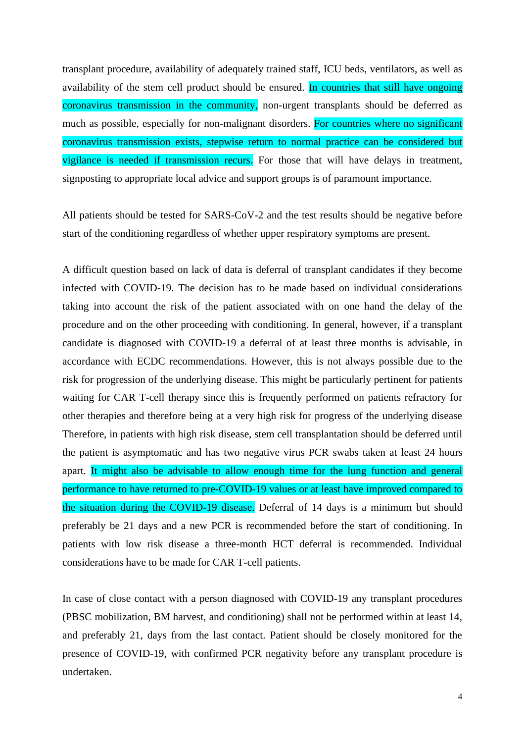transplant procedure, availability of adequately trained staff, ICU beds, ventilators, as well as availability of the stem cell product should be ensured. In countries that still have ongoing coronavirus transmission in the community, non-urgent transplants should be deferred as much as possible, especially for non-malignant disorders. For countries where no significant coronavirus transmission exists, stepwise return to normal practice can be considered but vigilance is needed if transmission recurs. For those that will have delays in treatment, signposting to appropriate local advice and support groups is of paramount importance.

All patients should be tested for SARS-CoV-2 and the test results should be negative before start of the conditioning regardless of whether upper respiratory symptoms are present.

A difficult question based on lack of data is deferral of transplant candidates if they become infected with COVID-19. The decision has to be made based on individual considerations taking into account the risk of the patient associated with on one hand the delay of the procedure and on the other proceeding with conditioning. In general, however, if a transplant candidate is diagnosed with COVID-19 a deferral of at least three months is advisable, in accordance with ECDC recommendations. However, this is not always possible due to the risk for progression of the underlying disease. This might be particularly pertinent for patients waiting for CAR T-cell therapy since this is frequently performed on patients refractory for other therapies and therefore being at a very high risk for progress of the underlying disease Therefore, in patients with high risk disease, stem cell transplantation should be deferred until the patient is asymptomatic and has two negative virus PCR swabs taken at least 24 hours apart. It might also be advisable to allow enough time for the lung function and general performance to have returned to pre-COVID-19 values or at least have improved compared to the situation during the COVID-19 disease. Deferral of 14 days is a minimum but should preferably be 21 days and a new PCR is recommended before the start of conditioning. In patients with low risk disease a three-month HCT deferral is recommended. Individual considerations have to be made for CAR T-cell patients.

In case of close contact with a person diagnosed with COVID-19 any transplant procedures (PBSC mobilization, BM harvest, and conditioning) shall not be performed within at least 14, and preferably 21, days from the last contact. Patient should be closely monitored for the presence of COVID-19, with confirmed PCR negativity before any transplant procedure is undertaken.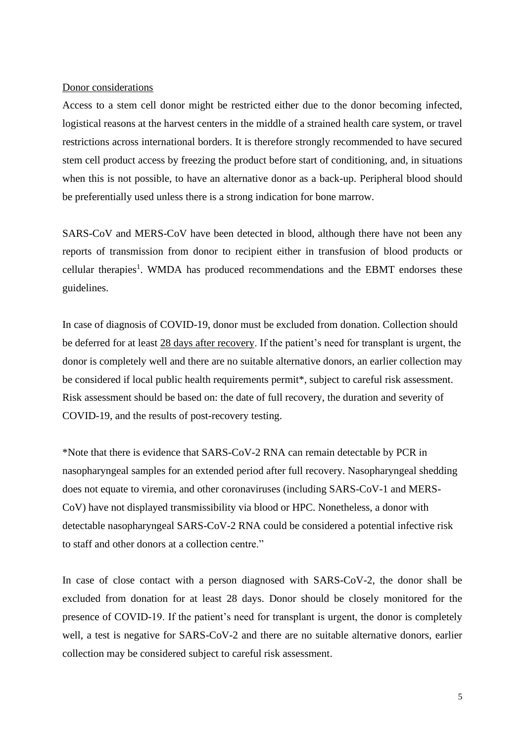#### Donor considerations

Access to a stem cell donor might be restricted either due to the donor becoming infected, logistical reasons at the harvest centers in the middle of a strained health care system, or travel restrictions across international borders. It is therefore strongly recommended to have secured stem cell product access by freezing the product before start of conditioning, and, in situations when this is not possible, to have an alternative donor as a back-up. Peripheral blood should be preferentially used unless there is a strong indication for bone marrow.

SARS-CoV and MERS-CoV have been detected in blood, although there have not been any reports of transmission from donor to recipient either in transfusion of blood products or cellular therapies<sup>1</sup>. WMDA has produced recommendations and the EBMT endorses these guidelines.

In case of diagnosis of COVID-19, donor must be excluded from donation. Collection should be deferred for at least 28 days after recovery. If the patient's need for transplant is urgent, the donor is completely well and there are no suitable alternative donors, an earlier collection may be considered if local public health requirements permit\*, subject to careful risk assessment. Risk assessment should be based on: the date of full recovery, the duration and severity of COVID-19, and the results of post-recovery testing.

\*Note that there is evidence that SARS-CoV-2 RNA can remain detectable by PCR in nasopharyngeal samples for an extended period after full recovery. Nasopharyngeal shedding does not equate to viremia, and other coronaviruses (including SARS-CoV-1 and MERS-CoV) have not displayed transmissibility via blood or HPC. Nonetheless, a donor with detectable nasopharyngeal SARS-CoV-2 RNA could be considered a potential infective risk to staff and other donors at a collection centre."

In case of close contact with a person diagnosed with SARS-CoV-2, the donor shall be excluded from donation for at least 28 days. Donor should be closely monitored for the presence of COVID-19. If the patient's need for transplant is urgent, the donor is completely well, a test is negative for SARS-CoV-2 and there are no suitable alternative donors, earlier collection may be considered subject to careful risk assessment.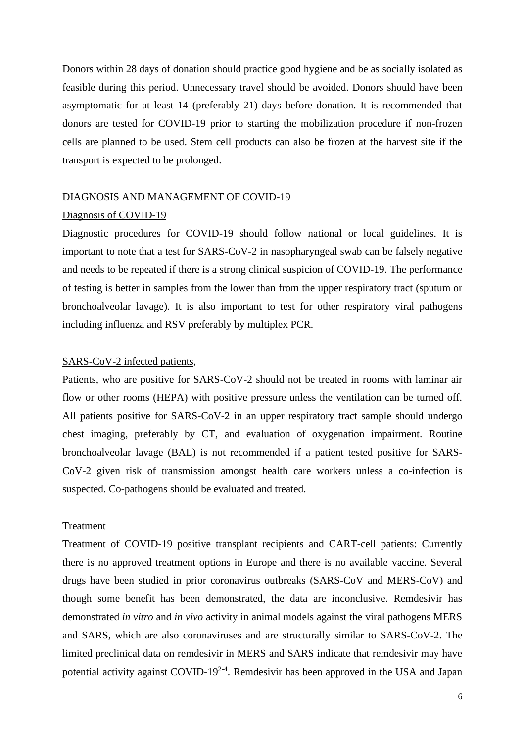Donors within 28 days of donation should practice good hygiene and be as socially isolated as feasible during this period. Unnecessary travel should be avoided. Donors should have been asymptomatic for at least 14 (preferably 21) days before donation. It is recommended that donors are tested for COVID-19 prior to starting the mobilization procedure if non-frozen cells are planned to be used. Stem cell products can also be frozen at the harvest site if the transport is expected to be prolonged.

#### DIAGNOSIS AND MANAGEMENT OF COVID-19

#### Diagnosis of COVID-19

Diagnostic procedures for COVID-19 should follow national or local guidelines. It is important to note that a test for SARS-CoV-2 in nasopharyngeal swab can be falsely negative and needs to be repeated if there is a strong clinical suspicion of COVID-19. The performance of testing is better in samples from the lower than from the upper respiratory tract (sputum or bronchoalveolar lavage). It is also important to test for other respiratory viral pathogens including influenza and RSV preferably by multiplex PCR.

### SARS-CoV-2 infected patients,

Patients, who are positive for SARS-CoV-2 should not be treated in rooms with laminar air flow or other rooms (HEPA) with positive pressure unless the ventilation can be turned off. All patients positive for SARS-CoV-2 in an upper respiratory tract sample should undergo chest imaging, preferably by CT, and evaluation of oxygenation impairment. Routine bronchoalveolar lavage (BAL) is not recommended if a patient tested positive for SARS-CoV-2 given risk of transmission amongst health care workers unless a co-infection is suspected. Co-pathogens should be evaluated and treated.

#### Treatment

Treatment of COVID-19 positive transplant recipients and CART-cell patients: Currently there is no approved treatment options in Europe and there is no available vaccine. Several drugs have been studied in prior coronavirus outbreaks (SARS-CoV and MERS-CoV) and though some benefit has been demonstrated, the data are inconclusive. Remdesivir has demonstrated *in vitro* and *in vivo* activity in animal models against the viral pathogens MERS and SARS, which are also coronaviruses and are structurally similar to SARS-CoV-2. The limited preclinical data on remdesivir in MERS and SARS indicate that remdesivir may have potential activity against COVID-19<sup>2-4</sup>. Remdesivir has been approved in the USA and Japan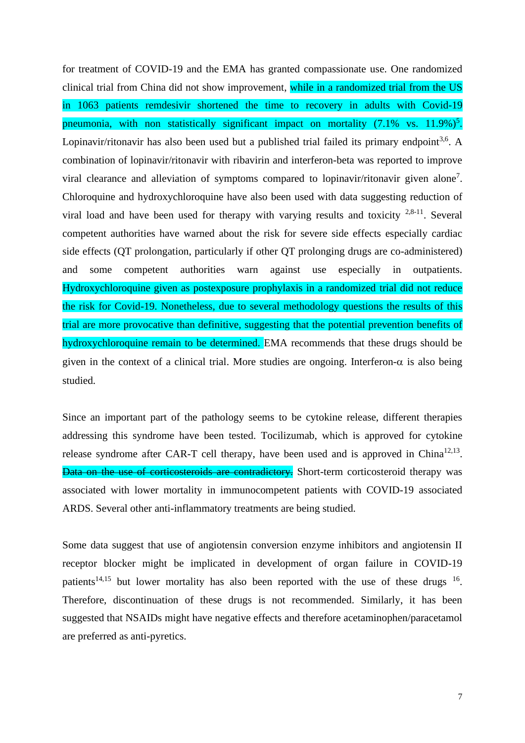for treatment of COVID-19 and the EMA has granted compassionate use. One randomized clinical trial from China did not show improvement, while in a randomized trial from the US in 1063 patients remdesivir shortened the time to recovery in adults with Covid-19 pneumonia, with non statistically significant impact on mortality  $(7.1\% \text{ vs. } 11.9\%)^5$ . Lopinavir/ritonavir has also been used but a published trial failed its primary endpoint<sup>3,6</sup>. A combination of lopinavir/ritonavir with ribavirin and interferon-beta was reported to improve viral clearance and alleviation of symptoms compared to lopinavir/ritonavir given alone<sup>7</sup>. Chloroquine and hydroxychloroquine have also been used with data suggesting reduction of viral load and have been used for therapy with varying results and toxicity  $2,8-11$ . Several competent authorities have warned about the risk for severe side effects especially cardiac side effects (QT prolongation, particularly if other QT prolonging drugs are co-administered) and some competent authorities warn against use especially in outpatients. Hydroxychloroquine given as postexposure prophylaxis in a randomized trial did not reduce the risk for Covid-19. Nonetheless, due to several methodology questions the results of this trial are more provocative than definitive, suggesting that the potential prevention benefits of hydroxychloroquine remain to be determined. EMA recommends that these drugs should be given in the context of a clinical trial. More studies are ongoing. Interferon- $\alpha$  is also being studied.

Since an important part of the pathology seems to be cytokine release, different therapies addressing this syndrome have been tested. Tocilizumab, which is approved for cytokine release syndrome after CAR-T cell therapy, have been used and is approved in China<sup>12,13</sup>. Data on the use of corticosteroids are contradictory. Short-term corticosteroid therapy was associated with lower mortality in immunocompetent patients with COVID-19 associated ARDS. Several other anti-inflammatory treatments are being studied.

Some data suggest that use of angiotensin conversion enzyme inhibitors and angiotensin II receptor blocker might be implicated in development of organ failure in COVID-19 patients<sup>14,15</sup> but lower mortality has also been reported with the use of these drugs  $16$ . Therefore, discontinuation of these drugs is not recommended. Similarly, it has been suggested that NSAIDs might have negative effects and therefore acetaminophen/paracetamol are preferred as anti-pyretics.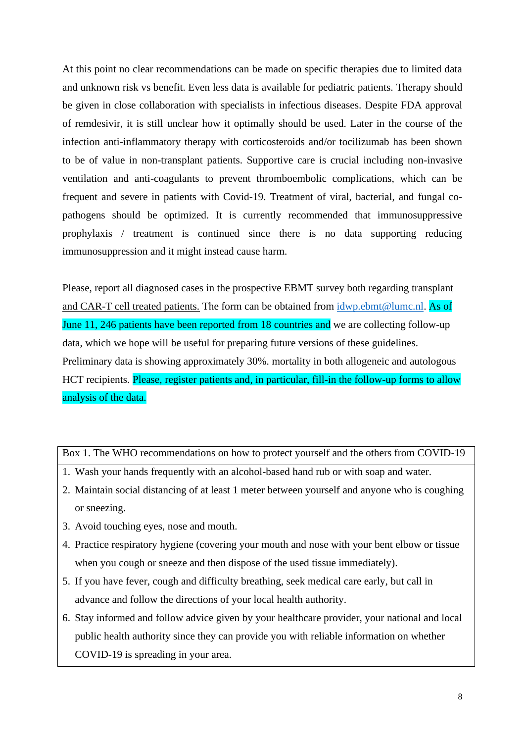At this point no clear recommendations can be made on specific therapies due to limited data and unknown risk vs benefit. Even less data is available for pediatric patients. Therapy should be given in close collaboration with specialists in infectious diseases. Despite FDA approval of remdesivir, it is still unclear how it optimally should be used. Later in the course of the infection anti-inflammatory therapy with corticosteroids and/or tocilizumab has been shown to be of value in non-transplant patients. Supportive care is crucial including non-invasive ventilation and anti-coagulants to prevent thromboembolic complications, which can be frequent and severe in patients with Covid-19. Treatment of viral, bacterial, and fungal copathogens should be optimized. It is currently recommended that immunosuppressive prophylaxis / treatment is continued since there is no data supporting reducing immunosuppression and it might instead cause harm.

Please, report all diagnosed cases in the prospective EBMT survey both regarding transplant and CAR-T cell treated patients. The form can be obtained from  $idwp.ebmt@lumc.nl$ . As of June 11, 246 patients have been reported from 18 countries and we are collecting follow-up data, which we hope will be useful for preparing future versions of these guidelines. Preliminary data is showing approximately 30%. mortality in both allogeneic and autologous HCT recipients. Please, register patients and, in particular, fill-in the follow-up forms to allow analysis of the data.

Box 1. The WHO recommendations on how to protect yourself and the others from COVID-19

- 1. Wash your hands frequently with an alcohol-based hand rub or with soap and water.
- 2. Maintain social distancing of at least 1 meter between yourself and anyone who is coughing or sneezing.
- 3. Avoid touching eyes, nose and mouth.
- 4. Practice respiratory hygiene (covering your mouth and nose with your bent elbow or tissue when you cough or sneeze and then dispose of the used tissue immediately).
- 5. If you have fever, cough and difficulty breathing, seek medical care early, but call in advance and follow the directions of your local health authority.
- 6. Stay informed and follow advice given by your healthcare provider, your national and local public health authority since they can provide you with reliable information on whether COVID-19 is spreading in your area.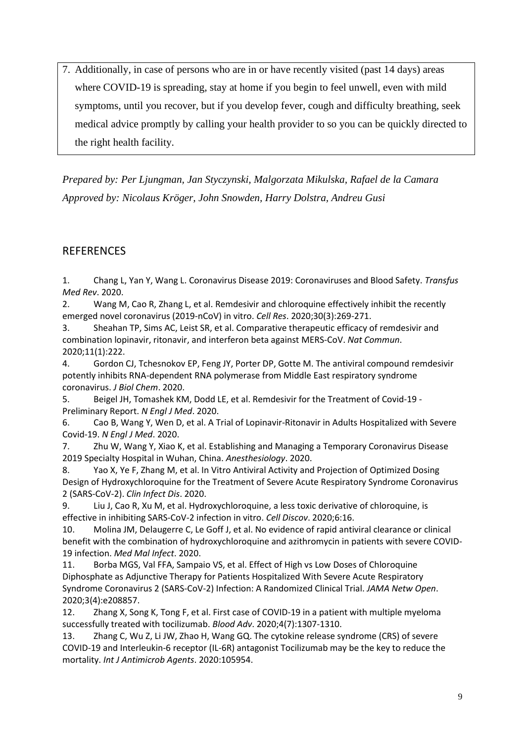7. Additionally, in case of persons who are in or have recently visited (past 14 days) areas where COVID-19 is spreading, stay at home if you begin to feel unwell, even with mild symptoms, until you recover, but if you develop fever, cough and difficulty breathing, seek medical advice promptly by calling your health provider to so you can be quickly directed to the right health facility.

*Prepared by: Per Ljungman, Jan Styczynski, Malgorzata Mikulska, Rafael de la Camara Approved by: Nicolaus Kröger, John Snowden, Harry Dolstra, Andreu Gusi*

## **REFERENCES**

1. Chang L, Yan Y, Wang L. Coronavirus Disease 2019: Coronaviruses and Blood Safety. *Transfus Med Rev*. 2020.

2. Wang M, Cao R, Zhang L, et al. Remdesivir and chloroquine effectively inhibit the recently emerged novel coronavirus (2019-nCoV) in vitro. *Cell Res*. 2020;30(3):269-271.

3. Sheahan TP, Sims AC, Leist SR, et al. Comparative therapeutic efficacy of remdesivir and combination lopinavir, ritonavir, and interferon beta against MERS-CoV. *Nat Commun*. 2020;11(1):222.

4. Gordon CJ, Tchesnokov EP, Feng JY, Porter DP, Gotte M. The antiviral compound remdesivir potently inhibits RNA-dependent RNA polymerase from Middle East respiratory syndrome coronavirus. *J Biol Chem*. 2020.

5. Beigel JH, Tomashek KM, Dodd LE, et al. Remdesivir for the Treatment of Covid-19 - Preliminary Report. *N Engl J Med*. 2020.

6. Cao B, Wang Y, Wen D, et al. A Trial of Lopinavir-Ritonavir in Adults Hospitalized with Severe Covid-19. *N Engl J Med*. 2020.

7. Zhu W, Wang Y, Xiao K, et al. Establishing and Managing a Temporary Coronavirus Disease 2019 Specialty Hospital in Wuhan, China. *Anesthesiology*. 2020.

8. Yao X, Ye F, Zhang M, et al. In Vitro Antiviral Activity and Projection of Optimized Dosing Design of Hydroxychloroquine for the Treatment of Severe Acute Respiratory Syndrome Coronavirus 2 (SARS-CoV-2). *Clin Infect Dis*. 2020.

9. Liu J, Cao R, Xu M, et al. Hydroxychloroquine, a less toxic derivative of chloroquine, is effective in inhibiting SARS-CoV-2 infection in vitro. *Cell Discov*. 2020;6:16.

10. Molina JM, Delaugerre C, Le Goff J, et al. No evidence of rapid antiviral clearance or clinical benefit with the combination of hydroxychloroquine and azithromycin in patients with severe COVID-19 infection. *Med Mal Infect*. 2020.

11. Borba MGS, Val FFA, Sampaio VS, et al. Effect of High vs Low Doses of Chloroquine Diphosphate as Adjunctive Therapy for Patients Hospitalized With Severe Acute Respiratory Syndrome Coronavirus 2 (SARS-CoV-2) Infection: A Randomized Clinical Trial. *JAMA Netw Open*. 2020;3(4):e208857.

12. Zhang X, Song K, Tong F, et al. First case of COVID-19 in a patient with multiple myeloma successfully treated with tocilizumab. *Blood Adv*. 2020;4(7):1307-1310.

13. Zhang C, Wu Z, Li JW, Zhao H, Wang GQ. The cytokine release syndrome (CRS) of severe COVID-19 and Interleukin-6 receptor (IL-6R) antagonist Tocilizumab may be the key to reduce the mortality. *Int J Antimicrob Agents*. 2020:105954.